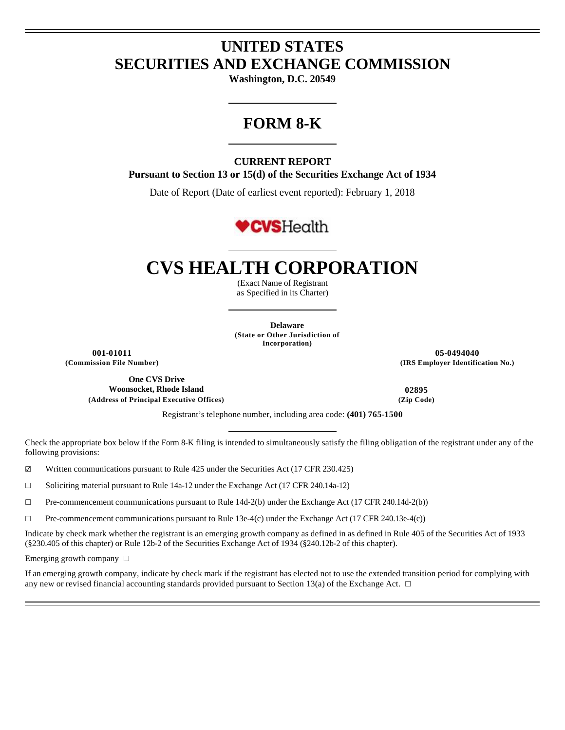## **UNITED STATES SECURITIES AND EXCHANGE COMMISSION**

**Washington, D.C. 20549** 

### **FORM 8-K**

#### **CURRENT REPORT**

**Pursuant to Section 13 or 15(d) of the Securities Exchange Act of 1934** 

Date of Report (Date of earliest event reported): February 1, 2018

## **CVSHealth**

# **CVS HEALTH CORPORATION**

(Exact Name of Registrant as Specified in its Charter)

**Delaware (State or Other Jurisdiction of Incorporation)**

**One CVS Drive Woonsocket, Rhode Island 02895 (Address of Principal Executive Offices) (Zip Code)**

**001-01011 05-0494040 (Commission File Number) (IRS Employer Identification No.)**

Registrant's telephone number, including area code: **(401) 765-1500**

Check the appropriate box below if the Form 8-K filing is intended to simultaneously satisfy the filing obligation of the registrant under any of the following provisions:

☑ Written communications pursuant to Rule 425 under the Securities Act (17 CFR 230.425)

☐ Soliciting material pursuant to Rule 14a-12 under the Exchange Act (17 CFR 240.14a-12)

☐ Pre-commencement communications pursuant to Rule 14d-2(b) under the Exchange Act (17 CFR 240.14d-2(b))

 $\Box$  Pre-commencement communications pursuant to Rule 13e-4(c) under the Exchange Act (17 CFR 240.13e-4(c))

Indicate by check mark whether the registrant is an emerging growth company as defined in as defined in Rule 405 of the Securities Act of 1933 (§230.405 of this chapter) or Rule 12b-2 of the Securities Exchange Act of 1934 (§240.12b-2 of this chapter).

Emerging growth company □

If an emerging growth company, indicate by check mark if the registrant has elected not to use the extended transition period for complying with any new or revised financial accounting standards provided pursuant to Section 13(a) of the Exchange Act.  $\Box$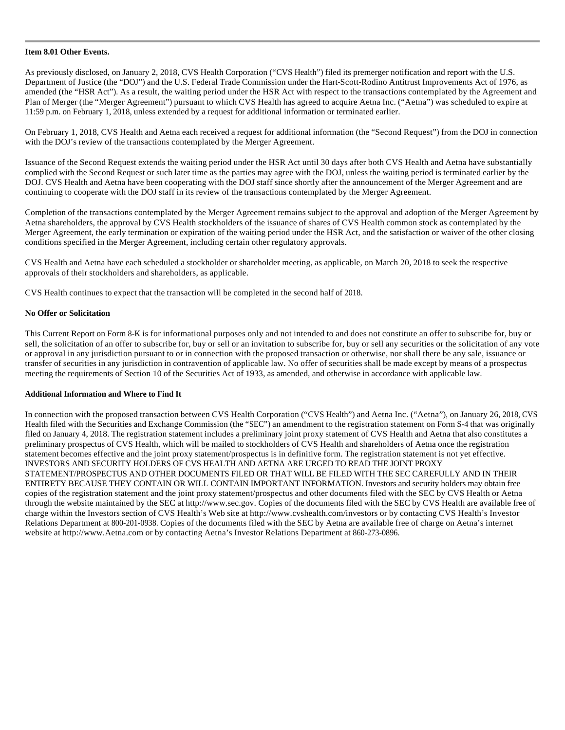#### **Item 8.01 Other Events.**

As previously disclosed, on January 2, 2018, CVS Health Corporation ("CVS Health") filed its premerger notification and report with the U.S. Department of Justice (the "DOJ") and the U.S. Federal Trade Commission under the Hart-Scott-Rodino Antitrust Improvements Act of 1976, as amended (the "HSR Act"). As a result, the waiting period under the HSR Act with respect to the transactions contemplated by the Agreement and Plan of Merger (the "Merger Agreement") pursuant to which CVS Health has agreed to acquire Aetna Inc. ("Aetna") was scheduled to expire at 11:59 p.m. on February 1, 2018, unless extended by a request for additional information or terminated earlier.

On February 1, 2018, CVS Health and Aetna each received a request for additional information (the "Second Request") from the DOJ in connection with the DOJ's review of the transactions contemplated by the Merger Agreement.

Issuance of the Second Request extends the waiting period under the HSR Act until 30 days after both CVS Health and Aetna have substantially complied with the Second Request or such later time as the parties may agree with the DOJ, unless the waiting period is terminated earlier by the DOJ. CVS Health and Aetna have been cooperating with the DOJ staff since shortly after the announcement of the Merger Agreement and are continuing to cooperate with the DOJ staff in its review of the transactions contemplated by the Merger Agreement.

Completion of the transactions contemplated by the Merger Agreement remains subject to the approval and adoption of the Merger Agreement by Aetna shareholders, the approval by CVS Health stockholders of the issuance of shares of CVS Health common stock as contemplated by the Merger Agreement, the early termination or expiration of the waiting period under the HSR Act, and the satisfaction or waiver of the other closing conditions specified in the Merger Agreement, including certain other regulatory approvals.

CVS Health and Aetna have each scheduled a stockholder or shareholder meeting, as applicable, on March 20, 2018 to seek the respective approvals of their stockholders and shareholders, as applicable.

CVS Health continues to expect that the transaction will be completed in the second half of 2018.

#### **No Offer or Solicitation**

This Current Report on Form 8-K is for informational purposes only and not intended to and does not constitute an offer to subscribe for, buy or sell, the solicitation of an offer to subscribe for, buy or sell or an invitation to subscribe for, buy or sell any securities or the solicitation of any vote or approval in any jurisdiction pursuant to or in connection with the proposed transaction or otherwise, nor shall there be any sale, issuance or transfer of securities in any jurisdiction in contravention of applicable law. No offer of securities shall be made except by means of a prospectus meeting the requirements of Section 10 of the Securities Act of 1933, as amended, and otherwise in accordance with applicable law.

#### **Additional Information and Where to Find It**

In connection with the proposed transaction between CVS Health Corporation ("CVS Health") and Aetna Inc. ("Aetna"), on January 26, 2018, CVS Health filed with the Securities and Exchange Commission (the "SEC") an amendment to the registration statement on Form S-4 that was originally filed on January 4, 2018. The registration statement includes a preliminary joint proxy statement of CVS Health and Aetna that also constitutes a preliminary prospectus of CVS Health, which will be mailed to stockholders of CVS Health and shareholders of Aetna once the registration statement becomes effective and the joint proxy statement/prospectus is in definitive form. The registration statement is not yet effective. INVESTORS AND SECURITY HOLDERS OF CVS HEALTH AND AETNA ARE URGED TO READ THE JOINT PROXY STATEMENT/PROSPECTUS AND OTHER DOCUMENTS FILED OR THAT WILL BE FILED WITH THE SEC CAREFULLY AND IN THEIR ENTIRETY BECAUSE THEY CONTAIN OR WILL CONTAIN IMPORTANT INFORMATION. Investors and security holders may obtain free copies of the registration statement and the joint proxy statement/prospectus and other documents filed with the SEC by CVS Health or Aetna through the website maintained by the SEC at http://www.sec.gov. Copies of the documents filed with the SEC by CVS Health are available free of charge within the Investors section of CVS Health's Web site at http://www.cvshealth.com/investors or by contacting CVS Health's Investor Relations Department at 800-201-0938. Copies of the documents filed with the SEC by Aetna are available free of charge on Aetna's internet website at http://www.Aetna.com or by contacting Aetna's Investor Relations Department at 860-273-0896.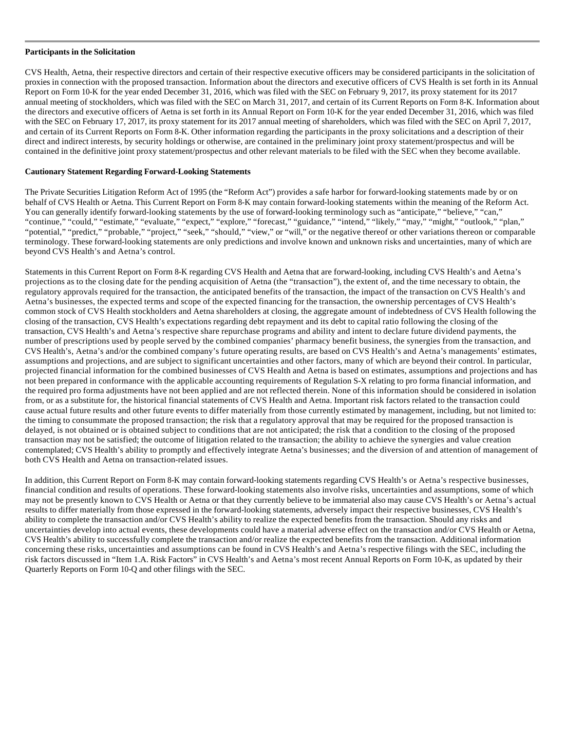#### **Participants in the Solicitation**

CVS Health, Aetna, their respective directors and certain of their respective executive officers may be considered participants in the solicitation of proxies in connection with the proposed transaction. Information about the directors and executive officers of CVS Health is set forth in its Annual Report on Form 10-K for the year ended December 31, 2016, which was filed with the SEC on February 9, 2017, its proxy statement for its 2017 annual meeting of stockholders, which was filed with the SEC on March 31, 2017, and certain of its Current Reports on Form 8-K. Information about the directors and executive officers of Aetna is set forth in its Annual Report on Form 10-K for the year ended December 31, 2016, which was filed with the SEC on February 17, 2017, its proxy statement for its 2017 annual meeting of shareholders, which was filed with the SEC on April 7, 2017, and certain of its Current Reports on Form 8-K. Other information regarding the participants in the proxy solicitations and a description of their direct and indirect interests, by security holdings or otherwise, are contained in the preliminary joint proxy statement/prospectus and will be contained in the definitive joint proxy statement/prospectus and other relevant materials to be filed with the SEC when they become available.

#### **Cautionary Statement Regarding Forward-Looking Statements**

The Private Securities Litigation Reform Act of 1995 (the "Reform Act") provides a safe harbor for forward-looking statements made by or on behalf of CVS Health or Aetna. This Current Report on Form 8-K may contain forward-looking statements within the meaning of the Reform Act. You can generally identify forward-looking statements by the use of forward-looking terminology such as "anticipate," "believe," "can," "continue," "could," "estimate," "evaluate," "expect," "explore," "forecast," "guidance," "intend," "likely," "may," "might," "outlook," "plan," "potential," "predict," "probable," "project," "seek," "should," "view," or "will," or the negative thereof or other variations thereon or comparable terminology. These forward-looking statements are only predictions and involve known and unknown risks and uncertainties, many of which are beyond CVS Health's and Aetna's control.

Statements in this Current Report on Form 8-K regarding CVS Health and Aetna that are forward-looking, including CVS Health's and Aetna's projections as to the closing date for the pending acquisition of Aetna (the "transaction"), the extent of, and the time necessary to obtain, the regulatory approvals required for the transaction, the anticipated benefits of the transaction, the impact of the transaction on CVS Health's and Aetna's businesses, the expected terms and scope of the expected financing for the transaction, the ownership percentages of CVS Health's common stock of CVS Health stockholders and Aetna shareholders at closing, the aggregate amount of indebtedness of CVS Health following the closing of the transaction, CVS Health's expectations regarding debt repayment and its debt to capital ratio following the closing of the transaction, CVS Health's and Aetna's respective share repurchase programs and ability and intent to declare future dividend payments, the number of prescriptions used by people served by the combined companies' pharmacy benefit business, the synergies from the transaction, and CVS Health's, Aetna's and/or the combined company's future operating results, are based on CVS Health's and Aetna's managements' estimates, assumptions and projections, and are subject to significant uncertainties and other factors, many of which are beyond their control. In particular, projected financial information for the combined businesses of CVS Health and Aetna is based on estimates, assumptions and projections and has not been prepared in conformance with the applicable accounting requirements of Regulation S-X relating to pro forma financial information, and the required pro forma adjustments have not been applied and are not reflected therein. None of this information should be considered in isolation from, or as a substitute for, the historical financial statements of CVS Health and Aetna. Important risk factors related to the transaction could cause actual future results and other future events to differ materially from those currently estimated by management, including, but not limited to: the timing to consummate the proposed transaction; the risk that a regulatory approval that may be required for the proposed transaction is delayed, is not obtained or is obtained subject to conditions that are not anticipated; the risk that a condition to the closing of the proposed transaction may not be satisfied; the outcome of litigation related to the transaction; the ability to achieve the synergies and value creation contemplated; CVS Health's ability to promptly and effectively integrate Aetna's businesses; and the diversion of and attention of management of both CVS Health and Aetna on transaction-related issues.

In addition, this Current Report on Form 8-K may contain forward-looking statements regarding CVS Health's or Aetna's respective businesses, financial condition and results of operations. These forward-looking statements also involve risks, uncertainties and assumptions, some of which may not be presently known to CVS Health or Aetna or that they currently believe to be immaterial also may cause CVS Health's or Aetna's actual results to differ materially from those expressed in the forward-looking statements, adversely impact their respective businesses, CVS Health's ability to complete the transaction and/or CVS Health's ability to realize the expected benefits from the transaction. Should any risks and uncertainties develop into actual events, these developments could have a material adverse effect on the transaction and/or CVS Health or Aetna, CVS Health's ability to successfully complete the transaction and/or realize the expected benefits from the transaction. Additional information concerning these risks, uncertainties and assumptions can be found in CVS Health's and Aetna's respective filings with the SEC, including the risk factors discussed in "Item 1.A. Risk Factors" in CVS Health's and Aetna's most recent Annual Reports on Form 10-K, as updated by their Quarterly Reports on Form 10-Q and other filings with the SEC.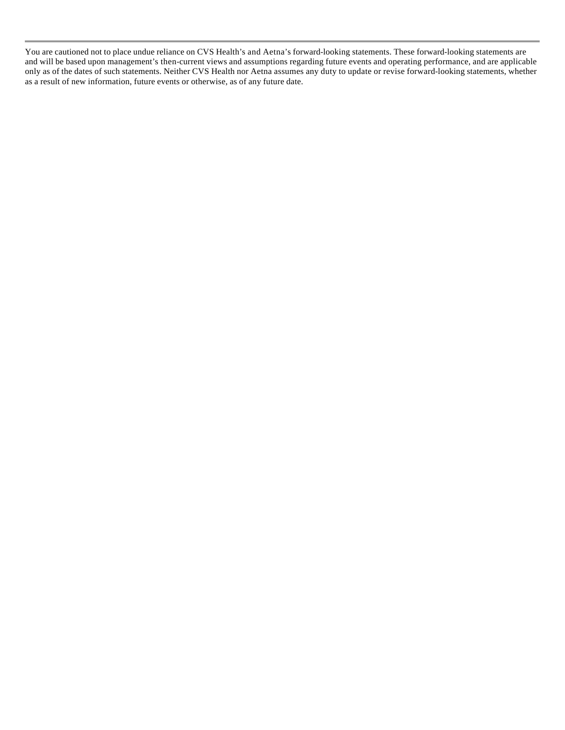You are cautioned not to place undue reliance on CVS Health's and Aetna's forward-looking statements. These forward-looking statements are and will be based upon management's then-current views and assumptions regarding future events and operating performance, and are applicable only as of the dates of such statements. Neither CVS Health nor Aetna assumes any duty to update or revise forward-looking statements, whether as a result of new information, future events or otherwise, as of any future date.